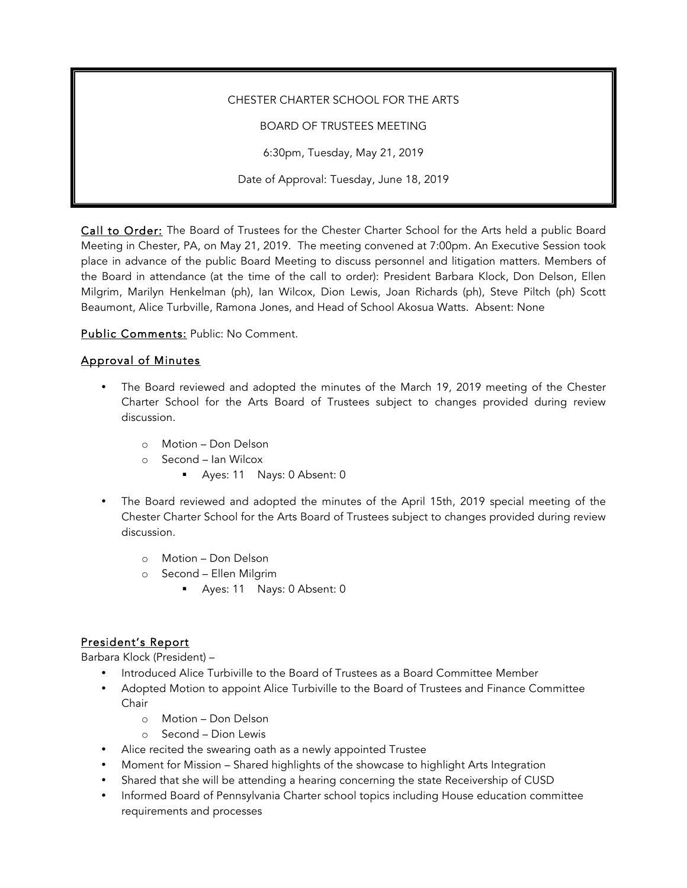#### CHESTER CHARTER SCHOOL FOR THE ARTS

BOARD OF TRUSTEES MEETING

6:30pm, Tuesday, May 21, 2019

Date of Approval: Tuesday, June 18, 2019

Call to Order: The Board of Trustees for the Chester Charter School for the Arts held a public Board Meeting in Chester, PA, on May 21, 2019. The meeting convened at 7:00pm. An Executive Session took place in advance of the public Board Meeting to discuss personnel and litigation matters. Members of the Board in attendance (at the time of the call to order): President Barbara Klock, Don Delson, Ellen Milgrim, Marilyn Henkelman (ph), Ian Wilcox, Dion Lewis, Joan Richards (ph), Steve Piltch (ph) Scott Beaumont, Alice Turbville, Ramona Jones, and Head of School Akosua Watts. Absent: None

Public Comments: Public: No Comment.

#### Approval of Minutes

- The Board reviewed and adopted the minutes of the March 19, 2019 meeting of the Chester Charter School for the Arts Board of Trustees subject to changes provided during review discussion.
	- o Motion Don Delson
	- o Second Ian Wilcox
		- § Ayes: 11 Nays: 0 Absent: 0
- The Board reviewed and adopted the minutes of the April 15th, 2019 special meeting of the Chester Charter School for the Arts Board of Trustees subject to changes provided during review discussion.
	- o Motion Don Delson
	- o Second Ellen Milgrim
		- § Ayes: 11 Nays: 0 Absent: 0

# President's Report

Barbara Klock (President) –

- Introduced Alice Turbiville to the Board of Trustees as a Board Committee Member
- Adopted Motion to appoint Alice Turbiville to the Board of Trustees and Finance Committee Chair
	- o Motion Don Delson
	- o Second Dion Lewis
- Alice recited the swearing oath as a newly appointed Trustee
- Moment for Mission Shared highlights of the showcase to highlight Arts Integration
- Shared that she will be attending a hearing concerning the state Receivership of CUSD
- Informed Board of Pennsylvania Charter school topics including House education committee requirements and processes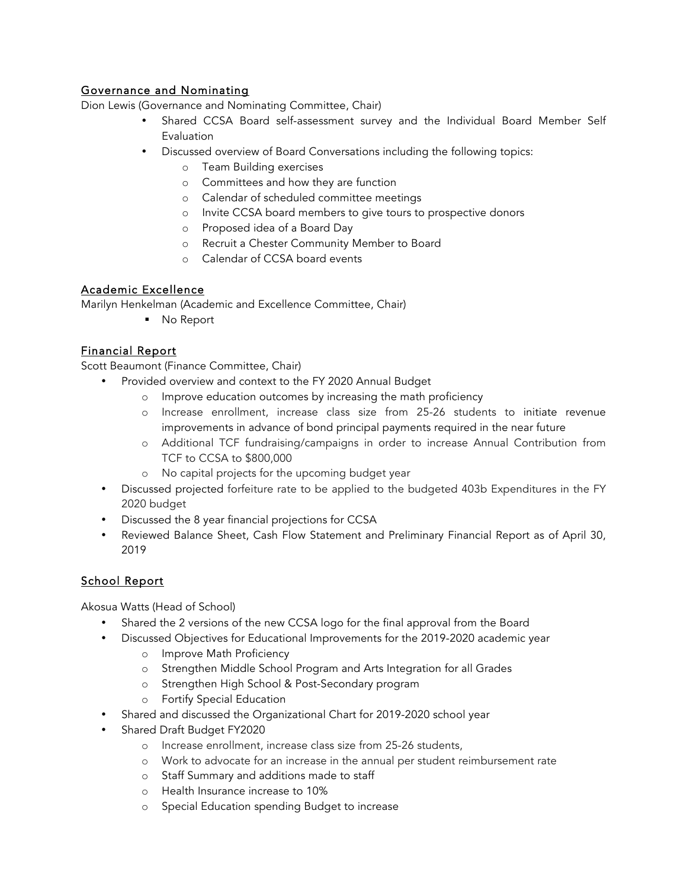## Governance and Nominating

Dion Lewis (Governance and Nominating Committee, Chair)

- Shared CCSA Board self-assessment survey and the Individual Board Member Self Evaluation
- Discussed overview of Board Conversations including the following topics:
	- o Team Building exercises
	- o Committees and how they are function
	- o Calendar of scheduled committee meetings
	- o Invite CCSA board members to give tours to prospective donors
	- o Proposed idea of a Board Day
	- o Recruit a Chester Community Member to Board
	- o Calendar of CCSA board events

## Academic Excellence

Marilyn Henkelman (Academic and Excellence Committee, Chair)

■ No Report

## Financial Report

Scott Beaumont (Finance Committee, Chair)

- Provided overview and context to the FY 2020 Annual Budget
	- o Improve education outcomes by increasing the math proficiency
	- o Increase enrollment, increase class size from 25-26 students to initiate revenue improvements in advance of bond principal payments required in the near future
	- o Additional TCF fundraising/campaigns in order to increase Annual Contribution from TCF to CCSA to \$800,000
	- o No capital projects for the upcoming budget year
- Discussed projected forfeiture rate to be applied to the budgeted 403b Expenditures in the FY 2020 budget
- Discussed the 8 year financial projections for CCSA
- Reviewed Balance Sheet, Cash Flow Statement and Preliminary Financial Report as of April 30, 2019

# School Report

Akosua Watts (Head of School)

- Shared the 2 versions of the new CCSA logo for the final approval from the Board
- Discussed Objectives for Educational Improvements for the 2019-2020 academic year
	- o Improve Math Proficiency
	- o Strengthen Middle School Program and Arts Integration for all Grades
	- o Strengthen High School & Post-Secondary program
	- o Fortify Special Education
- Shared and discussed the Organizational Chart for 2019-2020 school year
- Shared Draft Budget FY2020
	- o Increase enrollment, increase class size from 25-26 students,
	- o Work to advocate for an increase in the annual per student reimbursement rate
	- o Staff Summary and additions made to staff
	- o Health Insurance increase to 10%
	- o Special Education spending Budget to increase